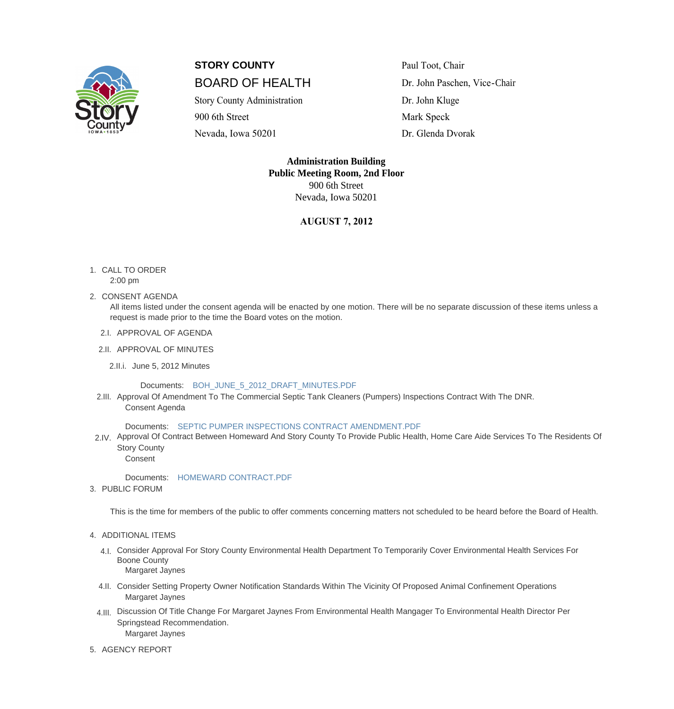

## **STORY COUNTY** Paul Toot, Chair **BOARD OF HEALTH** Dr. John Paschen, Vice-Chair

Story County Administration Dr. John Kluge 900 6th Street Mark Speck Nevada, Iowa 50201 Dr. Glenda Dvorak

**Administration Building Public Meeting Room, 2nd Floor** 900 6th Street Nevada, Iowa 50201

## **AUGUST 7, 2012**

- 1. CALL TO ORDER 2:00 pm
- 2. CONSENT AGENDA

All items listed under the consent agenda will be enacted by one motion. There will be no separate discussion o request is made prior to the time the Board votes on the motion.

- 2.I. APPROVAL OF AGENDA
- 2.II. APPROVAL OF MINUTES

2.II.i. June 5, 2012 Minutes

Documents: BOH\_JUNE\_5\_2012\_DRAFT\_MINUTES.PDF

2.III. Approval Of Amendment To The Commercial Septic Tank Cleaners (Pumpers) Inspections Contract With The l Consent Agenda

Documents: SE[PTIC PUMPER INSPECTIONS CONTRACT AM](http://www.storycountyiowa.gov/Files/AgendaCenter/Items/661/BOH_JUNE_5_2012_DRAFT_MINUTES_201206131026088093.pdf)ENDMENT.PDF

2.IV. Approval Of Contract Between Homeward And Story County To Provide Public Health, Home Care Aide Servic Story County

**Consent** 

Documents: HOMEWARD CONTRACT.PDF

3. PUBLIC FORUM

This is the time for [members of the public to offer c](http://www.storycountyiowa.gov/Files/AgendaCenter/Items/810/HOMEWARD%20CONTRACT_201207271212228428.pdf)omments concerning matters not scheduled to be heard befo

- 4. ADDITIONAL ITEMS
	- 4. I. Consider Approval For Story County Environmental Health Department To Temporarily Cover Environmental He Boone County Margaret Jaynes
	- 4.II. Consider Setting Property Owner Notification Standards Within The Vicinity Of Proposed Animal Confinement Margaret Jaynes
	- 4.III. Discussion Of Title Change For Margaret Jaynes From Environmental Health Mangager To Environmental Hea Springstead Recommendation. Margaret Jaynes
- 5. AGENCY REPORT